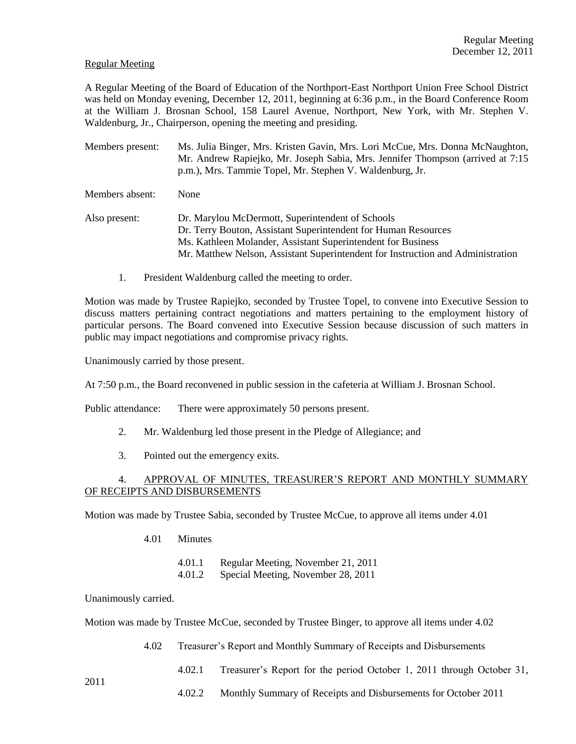## Regular Meeting

A Regular Meeting of the Board of Education of the Northport-East Northport Union Free School District was held on Monday evening, December 12, 2011, beginning at 6:36 p.m., in the Board Conference Room at the William J. Brosnan School, 158 Laurel Avenue, Northport, New York, with Mr. Stephen V. Waldenburg, Jr., Chairperson, opening the meeting and presiding.

Members present: Ms. Julia Binger, Mrs. Kristen Gavin, Mrs. Lori McCue, Mrs. Donna McNaughton, Mr. Andrew Rapiejko, Mr. Joseph Sabia, Mrs. Jennifer Thompson (arrived at 7:15 p.m.), Mrs. Tammie Topel, Mr. Stephen V. Waldenburg, Jr.

Members absent: None

- Also present: Dr. Marylou McDermott, Superintendent of Schools Dr. Terry Bouton, Assistant Superintendent for Human Resources Ms. Kathleen Molander, Assistant Superintendent for Business Mr. Matthew Nelson, Assistant Superintendent for Instruction and Administration
	- 1. President Waldenburg called the meeting to order.

Motion was made by Trustee Rapiejko, seconded by Trustee Topel, to convene into Executive Session to discuss matters pertaining contract negotiations and matters pertaining to the employment history of particular persons. The Board convened into Executive Session because discussion of such matters in public may impact negotiations and compromise privacy rights.

Unanimously carried by those present.

At 7:50 p.m., the Board reconvened in public session in the cafeteria at William J. Brosnan School.

Public attendance: There were approximately 50 persons present.

- 2. Mr. Waldenburg led those present in the Pledge of Allegiance; and
- 3. Pointed out the emergency exits.

# 4. APPROVAL OF MINUTES, TREASURER'S REPORT AND MONTHLY SUMMARY OF RECEIPTS AND DISBURSEMENTS

Motion was made by Trustee Sabia, seconded by Trustee McCue, to approve all items under 4.01

- 4.01 Minutes
	- 4.01.1 Regular Meeting, November 21, 2011
	- 4.01.2 Special Meeting, November 28, 2011

Unanimously carried.

2011

Motion was made by Trustee McCue, seconded by Trustee Binger, to approve all items under 4.02

- 4.02 Treasurer's Report and Monthly Summary of Receipts and Disbursements
	- 4.02.1 Treasurer's Report for the period October 1, 2011 through October 31,
		- 4.02.2 Monthly Summary of Receipts and Disbursements for October 2011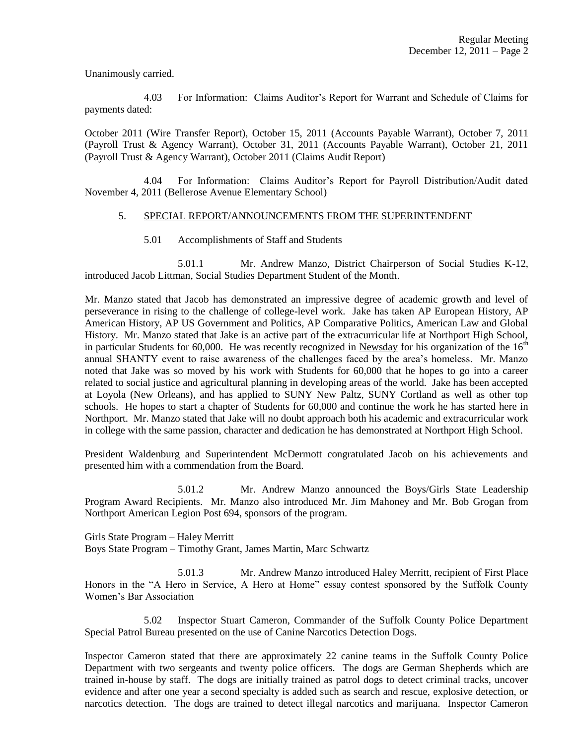Unanimously carried.

4.03 For Information: Claims Auditor's Report for Warrant and Schedule of Claims for payments dated:

October 2011 (Wire Transfer Report), October 15, 2011 (Accounts Payable Warrant), October 7, 2011 (Payroll Trust & Agency Warrant), October 31, 2011 (Accounts Payable Warrant), October 21, 2011 (Payroll Trust & Agency Warrant), October 2011 (Claims Audit Report)

4.04 For Information: Claims Auditor's Report for Payroll Distribution/Audit dated November 4, 2011 (Bellerose Avenue Elementary School)

## 5. SPECIAL REPORT/ANNOUNCEMENTS FROM THE SUPERINTENDENT

5.01 Accomplishments of Staff and Students

5.01.1 Mr. Andrew Manzo, District Chairperson of Social Studies K-12, introduced Jacob Littman, Social Studies Department Student of the Month.

Mr. Manzo stated that Jacob has demonstrated an impressive degree of academic growth and level of perseverance in rising to the challenge of college-level work. Jake has taken AP European History, AP American History, AP US Government and Politics, AP Comparative Politics, American Law and Global History. Mr. Manzo stated that Jake is an active part of the extracurricular life at Northport High School, in particular Students for 60,000. He was recently recognized in Newsday for his organization of the  $16<sup>th</sup>$ annual SHANTY event to raise awareness of the challenges faced by the area's homeless. Mr. Manzo noted that Jake was so moved by his work with Students for 60,000 that he hopes to go into a career related to social justice and agricultural planning in developing areas of the world. Jake has been accepted at Loyola (New Orleans), and has applied to SUNY New Paltz, SUNY Cortland as well as other top schools. He hopes to start a chapter of Students for 60,000 and continue the work he has started here in Northport. Mr. Manzo stated that Jake will no doubt approach both his academic and extracurricular work in college with the same passion, character and dedication he has demonstrated at Northport High School.

President Waldenburg and Superintendent McDermott congratulated Jacob on his achievements and presented him with a commendation from the Board.

5.01.2 Mr. Andrew Manzo announced the Boys/Girls State Leadership Program Award Recipients. Mr. Manzo also introduced Mr. Jim Mahoney and Mr. Bob Grogan from Northport American Legion Post 694, sponsors of the program.

Girls State Program – Haley Merritt Boys State Program – Timothy Grant, James Martin, Marc Schwartz

5.01.3 Mr. Andrew Manzo introduced Haley Merritt, recipient of First Place Honors in the "A Hero in Service, A Hero at Home" essay contest sponsored by the Suffolk County Women's Bar Association

5.02 Inspector Stuart Cameron, Commander of the Suffolk County Police Department Special Patrol Bureau presented on the use of Canine Narcotics Detection Dogs.

Inspector Cameron stated that there are approximately 22 canine teams in the Suffolk County Police Department with two sergeants and twenty police officers. The dogs are German Shepherds which are trained in-house by staff. The dogs are initially trained as patrol dogs to detect criminal tracks, uncover evidence and after one year a second specialty is added such as search and rescue, explosive detection, or narcotics detection. The dogs are trained to detect illegal narcotics and marijuana. Inspector Cameron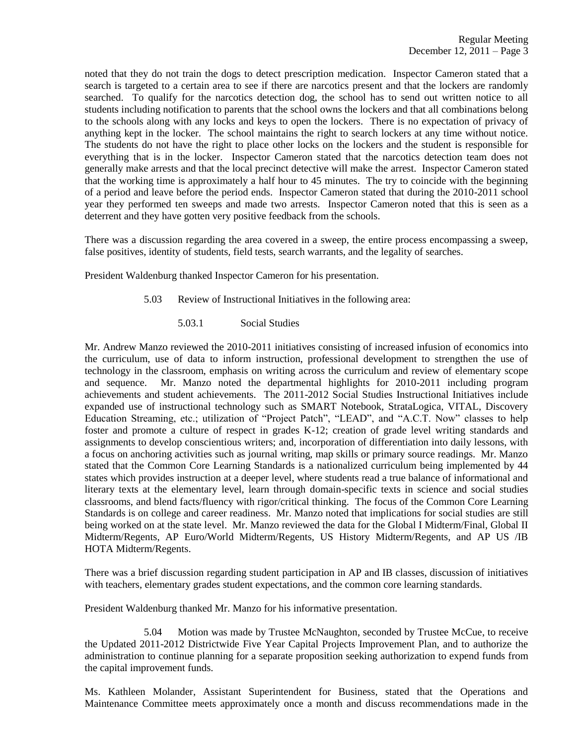noted that they do not train the dogs to detect prescription medication. Inspector Cameron stated that a search is targeted to a certain area to see if there are narcotics present and that the lockers are randomly searched. To qualify for the narcotics detection dog, the school has to send out written notice to all students including notification to parents that the school owns the lockers and that all combinations belong to the schools along with any locks and keys to open the lockers. There is no expectation of privacy of anything kept in the locker. The school maintains the right to search lockers at any time without notice. The students do not have the right to place other locks on the lockers and the student is responsible for everything that is in the locker. Inspector Cameron stated that the narcotics detection team does not generally make arrests and that the local precinct detective will make the arrest. Inspector Cameron stated that the working time is approximately a half hour to 45 minutes. The try to coincide with the beginning of a period and leave before the period ends. Inspector Cameron stated that during the 2010-2011 school year they performed ten sweeps and made two arrests. Inspector Cameron noted that this is seen as a deterrent and they have gotten very positive feedback from the schools.

There was a discussion regarding the area covered in a sweep, the entire process encompassing a sweep, false positives, identity of students, field tests, search warrants, and the legality of searches.

President Waldenburg thanked Inspector Cameron for his presentation.

- 5.03 Review of Instructional Initiatives in the following area:
	- 5.03.1 Social Studies

Mr. Andrew Manzo reviewed the 2010-2011 initiatives consisting of increased infusion of economics into the curriculum, use of data to inform instruction, professional development to strengthen the use of technology in the classroom, emphasis on writing across the curriculum and review of elementary scope and sequence. Mr. Manzo noted the departmental highlights for 2010-2011 including program achievements and student achievements. The 2011-2012 Social Studies Instructional Initiatives include expanded use of instructional technology such as SMART Notebook, StrataLogica, VITAL, Discovery Education Streaming, etc.; utilization of "Project Patch", "LEAD", and "A.C.T. Now" classes to help foster and promote a culture of respect in grades K-12; creation of grade level writing standards and assignments to develop conscientious writers; and, incorporation of differentiation into daily lessons, with a focus on anchoring activities such as journal writing, map skills or primary source readings. Mr. Manzo stated that the Common Core Learning Standards is a nationalized curriculum being implemented by 44 states which provides instruction at a deeper level, where students read a true balance of informational and literary texts at the elementary level, learn through domain-specific texts in science and social studies classrooms, and blend facts/fluency with rigor/critical thinking. The focus of the Common Core Learning Standards is on college and career readiness. Mr. Manzo noted that implications for social studies are still being worked on at the state level. Mr. Manzo reviewed the data for the Global I Midterm/Final, Global II Midterm/Regents, AP Euro/World Midterm/Regents, US History Midterm/Regents, and AP US /IB HOTA Midterm/Regents.

There was a brief discussion regarding student participation in AP and IB classes, discussion of initiatives with teachers, elementary grades student expectations, and the common core learning standards.

President Waldenburg thanked Mr. Manzo for his informative presentation.

5.04 Motion was made by Trustee McNaughton, seconded by Trustee McCue, to receive the Updated 2011-2012 Districtwide Five Year Capital Projects Improvement Plan, and to authorize the administration to continue planning for a separate proposition seeking authorization to expend funds from the capital improvement funds.

Ms. Kathleen Molander, Assistant Superintendent for Business, stated that the Operations and Maintenance Committee meets approximately once a month and discuss recommendations made in the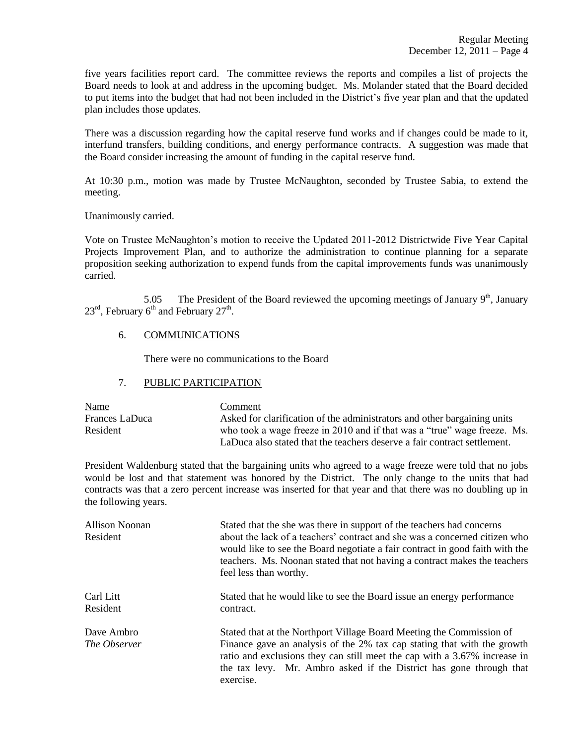five years facilities report card. The committee reviews the reports and compiles a list of projects the Board needs to look at and address in the upcoming budget. Ms. Molander stated that the Board decided to put items into the budget that had not been included in the District's five year plan and that the updated plan includes those updates.

There was a discussion regarding how the capital reserve fund works and if changes could be made to it, interfund transfers, building conditions, and energy performance contracts. A suggestion was made that the Board consider increasing the amount of funding in the capital reserve fund.

At 10:30 p.m., motion was made by Trustee McNaughton, seconded by Trustee Sabia, to extend the meeting.

Unanimously carried.

Vote on Trustee McNaughton's motion to receive the Updated 2011-2012 Districtwide Five Year Capital Projects Improvement Plan, and to authorize the administration to continue planning for a separate proposition seeking authorization to expend funds from the capital improvements funds was unanimously carried.

5.05 The President of the Board reviewed the upcoming meetings of January  $9<sup>th</sup>$ , January  $23^{\text{rd}}$ , February 6<sup>th</sup> and February  $27^{\text{th}}$ .

## 6. COMMUNICATIONS

There were no communications to the Board

# 7. PUBLIC PARTICIPATION

| <b>Name</b>    | Comment                                                                  |
|----------------|--------------------------------------------------------------------------|
| Frances LaDuca | Asked for clarification of the administrators and other bargaining units |
| Resident       | who took a wage freeze in 2010 and if that was a "true" wage freeze. Ms. |
|                | LaDuca also stated that the teachers deserve a fair contract settlement. |

President Waldenburg stated that the bargaining units who agreed to a wage freeze were told that no jobs would be lost and that statement was honored by the District. The only change to the units that had contracts was that a zero percent increase was inserted for that year and that there was no doubling up in the following years.

| <b>Allison Noonan</b><br>Resident | Stated that the she was there in support of the teachers had concerns<br>about the lack of a teachers' contract and she was a concerned citizen who<br>would like to see the Board negotiate a fair contract in good faith with the<br>teachers. Ms. Noonan stated that not having a contract makes the teachers<br>feel less than worthy. |
|-----------------------------------|--------------------------------------------------------------------------------------------------------------------------------------------------------------------------------------------------------------------------------------------------------------------------------------------------------------------------------------------|
| Carl Litt<br>Resident             | Stated that he would like to see the Board issue an energy performance<br>contract.                                                                                                                                                                                                                                                        |
| Dave Ambro<br>The Observer        | Stated that at the Northport Village Board Meeting the Commission of<br>Finance gave an analysis of the 2% tax cap stating that with the growth<br>ratio and exclusions they can still meet the cap with a 3.67% increase in<br>the tax levy. Mr. Ambro asked if the District has gone through that<br>exercise.                           |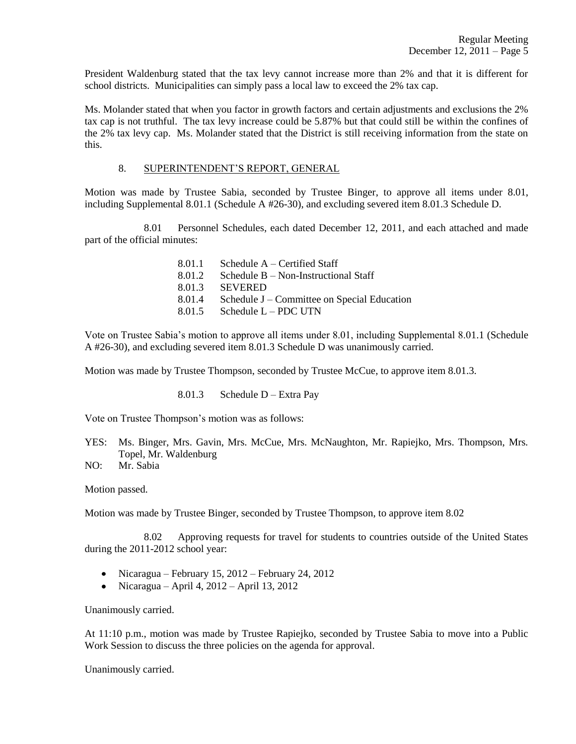President Waldenburg stated that the tax levy cannot increase more than 2% and that it is different for school districts. Municipalities can simply pass a local law to exceed the 2% tax cap.

Ms. Molander stated that when you factor in growth factors and certain adjustments and exclusions the 2% tax cap is not truthful. The tax levy increase could be 5.87% but that could still be within the confines of the 2% tax levy cap. Ms. Molander stated that the District is still receiving information from the state on this.

# 8. SUPERINTENDENT'S REPORT, GENERAL

Motion was made by Trustee Sabia, seconded by Trustee Binger, to approve all items under 8.01, including Supplemental 8.01.1 (Schedule A #26-30), and excluding severed item 8.01.3 Schedule D.

8.01 Personnel Schedules, each dated December 12, 2011, and each attached and made part of the official minutes:

| 8.01.1 | Schedule $A -$ Certified Staff              |
|--------|---------------------------------------------|
| 8.01.2 | Schedule $B$ – Non-Instructional Staff      |
| 8.01.3 | <b>SEVERED</b>                              |
| 8.01.4 | Schedule J – Committee on Special Education |
| 8.01.5 | Schedule $L - PDC$ UTN                      |

Vote on Trustee Sabia's motion to approve all items under 8.01, including Supplemental 8.01.1 (Schedule A #26-30), and excluding severed item 8.01.3 Schedule D was unanimously carried.

Motion was made by Trustee Thompson, seconded by Trustee McCue, to approve item 8.01.3.

8.01.3 Schedule D – Extra Pay

Vote on Trustee Thompson's motion was as follows:

YES: Ms. Binger, Mrs. Gavin, Mrs. McCue, Mrs. McNaughton, Mr. Rapiejko, Mrs. Thompson, Mrs. Topel, Mr. Waldenburg

NO: Mr. Sabia

Motion passed.

Motion was made by Trustee Binger, seconded by Trustee Thompson, to approve item 8.02

8.02 Approving requests for travel for students to countries outside of the United States during the 2011-2012 school year:

- Nicaragua February 15, 2012 February 24, 2012
- Nicaragua April 4,  $2012$  April 13, 2012

Unanimously carried.

At 11:10 p.m., motion was made by Trustee Rapiejko, seconded by Trustee Sabia to move into a Public Work Session to discuss the three policies on the agenda for approval.

Unanimously carried.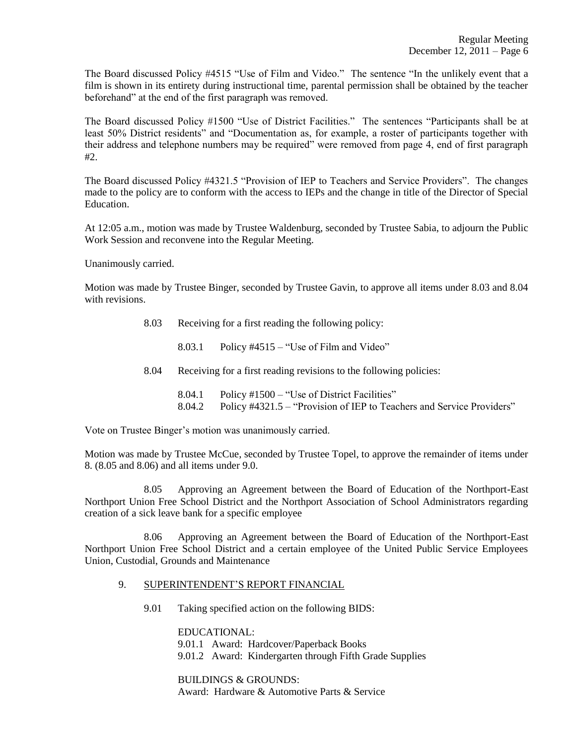The Board discussed Policy #4515 "Use of Film and Video." The sentence "In the unlikely event that a film is shown in its entirety during instructional time, parental permission shall be obtained by the teacher beforehand" at the end of the first paragraph was removed.

The Board discussed Policy #1500 "Use of District Facilities." The sentences "Participants shall be at least 50% District residents" and "Documentation as, for example, a roster of participants together with their address and telephone numbers may be required" were removed from page 4, end of first paragraph #2.

The Board discussed Policy #4321.5 "Provision of IEP to Teachers and Service Providers". The changes made to the policy are to conform with the access to IEPs and the change in title of the Director of Special Education.

At 12:05 a.m., motion was made by Trustee Waldenburg, seconded by Trustee Sabia, to adjourn the Public Work Session and reconvene into the Regular Meeting.

Unanimously carried.

Motion was made by Trustee Binger, seconded by Trustee Gavin, to approve all items under 8.03 and 8.04 with revisions.

8.03 Receiving for a first reading the following policy:

8.03.1 Policy  $#4515 - "Use of Film and Video"$ 

8.04 Receiving for a first reading revisions to the following policies:

8.04.1 Policy #1500 – "Use of District Facilities" 8.04.2 Policy #4321.5 – "Provision of IEP to Teachers and Service Providers"

Vote on Trustee Binger's motion was unanimously carried.

Motion was made by Trustee McCue, seconded by Trustee Topel, to approve the remainder of items under 8. (8.05 and 8.06) and all items under 9.0.

8.05 Approving an Agreement between the Board of Education of the Northport-East Northport Union Free School District and the Northport Association of School Administrators regarding creation of a sick leave bank for a specific employee

8.06 Approving an Agreement between the Board of Education of the Northport-East Northport Union Free School District and a certain employee of the United Public Service Employees Union, Custodial, Grounds and Maintenance

## 9. SUPERINTENDENT'S REPORT FINANCIAL

9.01 Taking specified action on the following BIDS:

EDUCATIONAL: 9.01.1 Award: Hardcover/Paperback Books 9.01.2 Award: Kindergarten through Fifth Grade Supplies

BUILDINGS & GROUNDS: Award: Hardware & Automotive Parts & Service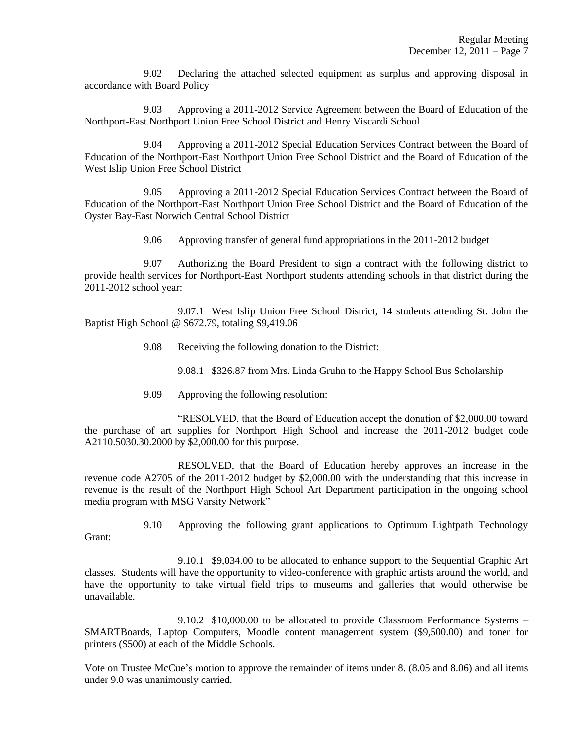9.02 Declaring the attached selected equipment as surplus and approving disposal in accordance with Board Policy

9.03 Approving a 2011-2012 Service Agreement between the Board of Education of the Northport-East Northport Union Free School District and Henry Viscardi School

9.04 Approving a 2011-2012 Special Education Services Contract between the Board of Education of the Northport-East Northport Union Free School District and the Board of Education of the West Islip Union Free School District

9.05 Approving a 2011-2012 Special Education Services Contract between the Board of Education of the Northport-East Northport Union Free School District and the Board of Education of the Oyster Bay-East Norwich Central School District

9.06 Approving transfer of general fund appropriations in the 2011-2012 budget

9.07 Authorizing the Board President to sign a contract with the following district to provide health services for Northport-East Northport students attending schools in that district during the 2011-2012 school year:

9.07.1 West Islip Union Free School District, 14 students attending St. John the Baptist High School @ \$672.79, totaling \$9,419.06

9.08 Receiving the following donation to the District:

9.08.1 \$326.87 from Mrs. Linda Gruhn to the Happy School Bus Scholarship

9.09 Approving the following resolution:

Grant:

"RESOLVED, that the Board of Education accept the donation of \$2,000.00 toward the purchase of art supplies for Northport High School and increase the 2011-2012 budget code A2110.5030.30.2000 by \$2,000.00 for this purpose.

RESOLVED, that the Board of Education hereby approves an increase in the revenue code A2705 of the 2011-2012 budget by \$2,000.00 with the understanding that this increase in revenue is the result of the Northport High School Art Department participation in the ongoing school media program with MSG Varsity Network"

9.10 Approving the following grant applications to Optimum Lightpath Technology

9.10.1 \$9,034.00 to be allocated to enhance support to the Sequential Graphic Art classes. Students will have the opportunity to video-conference with graphic artists around the world, and have the opportunity to take virtual field trips to museums and galleries that would otherwise be unavailable.

9.10.2 \$10,000.00 to be allocated to provide Classroom Performance Systems – SMARTBoards, Laptop Computers, Moodle content management system (\$9,500.00) and toner for printers (\$500) at each of the Middle Schools.

Vote on Trustee McCue's motion to approve the remainder of items under 8. (8.05 and 8.06) and all items under 9.0 was unanimously carried.